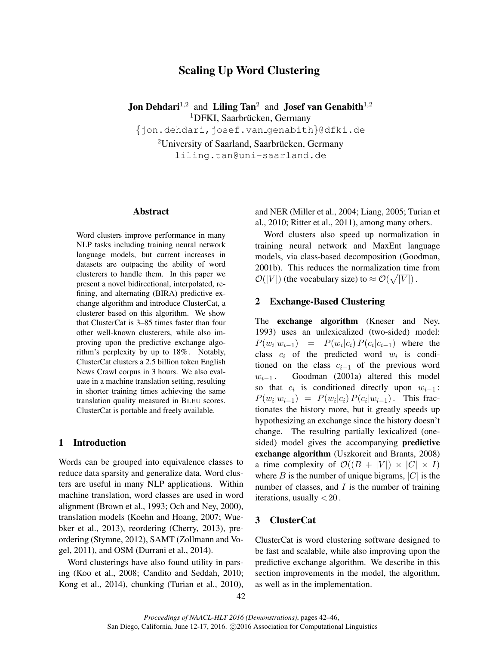# Scaling Up Word Clustering

**Jon Dehdari**<sup>1,2</sup> and **Liling Tan**<sup>2</sup> and **Josef van Genabith**<sup>1,2</sup> <sup>1</sup>DFKI, Saarbrücken, Germany

{jon.dehdari,josef.van genabith}@dfki.de

 $2$ University of Saarland, Saarbrücken, Germany liling.tan@uni-saarland.de

## Abstract

Word clusters improve performance in many NLP tasks including training neural network language models, but current increases in datasets are outpacing the ability of word clusterers to handle them. In this paper we present a novel bidirectional, interpolated, refining, and alternating (BIRA) predictive exchange algorithm and introduce ClusterCat, a clusterer based on this algorithm. We show that ClusterCat is 3–85 times faster than four other well-known clusterers, while also improving upon the predictive exchange algorithm's perplexity by up to 18% . Notably, ClusterCat clusters a 2.5 billion token English News Crawl corpus in 3 hours. We also evaluate in a machine translation setting, resulting in shorter training times achieving the same translation quality measured in BLEU scores. ClusterCat is portable and freely available.

#### 1 Introduction

Words can be grouped into equivalence classes to reduce data sparsity and generalize data. Word clusters are useful in many NLP applications. Within machine translation, word classes are used in word alignment (Brown et al., 1993; Och and Ney, 2000), translation models (Koehn and Hoang, 2007; Wuebker et al., 2013), reordering (Cherry, 2013), preordering (Stymne, 2012), SAMT (Zollmann and Vogel, 2011), and OSM (Durrani et al., 2014).

Word clusterings have also found utility in parsing (Koo et al., 2008; Candito and Seddah, 2010; Kong et al., 2014), chunking (Turian et al., 2010),

and NER (Miller et al., 2004; Liang, 2005; Turian et al., 2010; Ritter et al., 2011), among many others.

Word clusters also speed up normalization in training neural network and MaxEnt language models, via class-based decomposition (Goodman, 2001b). This reduces the normalization time from  $\mathcal{O}(|V|)$  (the vocabulary size) to  $\approx \mathcal{O}(\sqrt{|V|})$ .

## 2 Exchange-Based Clustering

The exchange algorithm (Kneser and Ney, 1993) uses an unlexicalized (two-sided) model:  $P(w_i|w_{i-1}) = P(w_i|c_i) P(c_i|c_{i-1})$  where the class  $c_i$  of the predicted word  $w_i$  is conditioned on the class  $c_{i-1}$  of the previous word  $w_{i-1}$ . Goodman (2001a) altered this model Goodman (2001a) altered this model so that  $c_i$  is conditioned directly upon  $w_{i-1}$ :  $P(w_i|w_{i-1}) = P(w_i|c_i) P(c_i|w_{i-1})$ . This fractionates the history more, but it greatly speeds up hypothesizing an exchange since the history doesn't change. The resulting partially lexicalized (onesided) model gives the accompanying predictive exchange algorithm (Uszkoreit and Brants, 2008) a time complexity of  $\mathcal{O}((B + |V|) \times |C| \times I)$ where B is the number of unique bigrams,  $|C|$  is the number of classes, and  $I$  is the number of training iterations, usually  $<$  20.

## 3 ClusterCat

ClusterCat is word clustering software designed to be fast and scalable, while also improving upon the predictive exchange algorithm. We describe in this section improvements in the model, the algorithm, as well as in the implementation.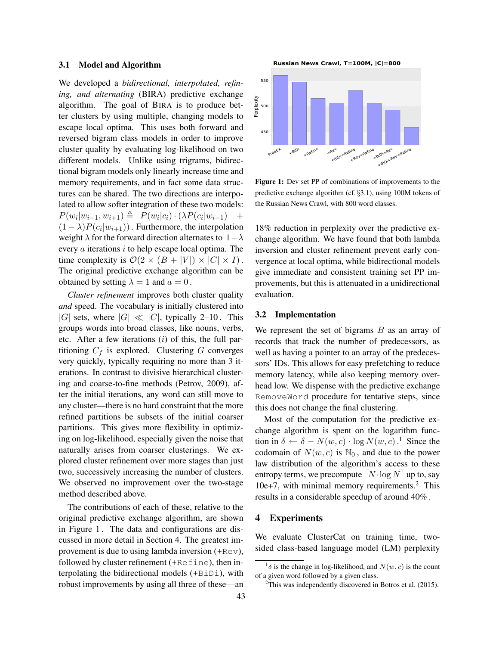#### 3.1 Model and Algorithm

We developed a *bidirectional, interpolated, refining, and alternating* (BIRA) predictive exchange algorithm. The goal of BIRA is to produce better clusters by using multiple, changing models to escape local optima. This uses both forward and reversed bigram class models in order to improve cluster quality by evaluating log-likelihood on two different models. Unlike using trigrams, bidirectional bigram models only linearly increase time and memory requirements, and in fact some data structures can be shared. The two directions are interpolated to allow softer integration of these two models:  $P(w_i|w_{i-1}, w_{i+1}) \triangleq P(w_i|c_i) \cdot (\lambda P(c_i|w_{i-1}) +$  $(1 - \lambda)P(c_i|w_{i+1})$ . Furthermore, the interpolation weight  $\lambda$  for the forward direction alternates to  $1-\lambda$ every  $a$  iterations  $i$  to help escape local optima. The time complexity is  $\mathcal{O}(2 \times (B + |V|) \times |C| \times I)$ . The original predictive exchange algorithm can be obtained by setting  $\lambda = 1$  and  $a = 0$ .

*Cluster refinement* improves both cluster quality *and* speed. The vocabulary is initially clustered into |G| sets, where  $|G| \ll |C|$ , typically 2–10. This groups words into broad classes, like nouns, verbs, etc. After a few iterations  $(i)$  of this, the full partitioning  $C_f$  is explored. Clustering  $G$  converges very quickly, typically requiring no more than 3 iterations. In contrast to divisive hierarchical clustering and coarse-to-fine methods (Petrov, 2009), after the initial iterations, any word can still move to any cluster—there is no hard constraint that the more refined partitions be subsets of the initial coarser partitions. This gives more flexibility in optimizing on log-likelihood, especially given the noise that naturally arises from coarser clusterings. We explored cluster refinement over more stages than just two, successively increasing the number of clusters. We observed no improvement over the two-stage method described above.

The contributions of each of these, relative to the original predictive exchange algorithm, are shown in Figure 1 . The data and configurations are discussed in more detail in Section 4. The greatest improvement is due to using lambda inversion (+Rev), followed by cluster refinement (+Refine), then interpolating the bidirectional models (+BiDi), with robust improvements by using all three of these—an

**Russian News Crawl, T=100M, |C|=800**



Figure 1: Dev set PP of combinations of improvements to the predictive exchange algorithm (cf. §3.1), using 100M tokens of the Russian News Crawl, with 800 word classes.

18% reduction in perplexity over the predictive exchange algorithm. We have found that both lambda inversion and cluster refinement prevent early convergence at local optima, while bidirectional models give immediate and consistent training set PP improvements, but this is attenuated in a unidirectional evaluation.

### 3.2 Implementation

We represent the set of bigrams  $B$  as an array of records that track the number of predecessors, as well as having a pointer to an array of the predecessors' IDs. This allows for easy prefetching to reduce memory latency, while also keeping memory overhead low. We dispense with the predictive exchange RemoveWord procedure for tentative steps, since this does not change the final clustering.

Most of the computation for the predictive exchange algorithm is spent on the logarithm function in  $\delta \leftarrow \delta - N(w, c) \cdot \log N(w, c)$ .<sup>1</sup> Since the codomain of  $N(w, c)$  is  $\mathbb{N}_0$ , and due to the power law distribution of the algorithm's access to these entropy terms, we precompute  $N \cdot \log N$  up to, say 10e+7, with minimal memory requirements.<sup>2</sup> This results in a considerable speedup of around 40% .

#### 4 Experiments

We evaluate ClusterCat on training time, twosided class-based language model (LM) perplexity

<sup>&</sup>lt;sup>1</sup> $\delta$  is the change in log-likelihood, and  $N(w, c)$  is the count of a given word followed by a given class.

 $2$ This was independently discovered in Botros et al. (2015).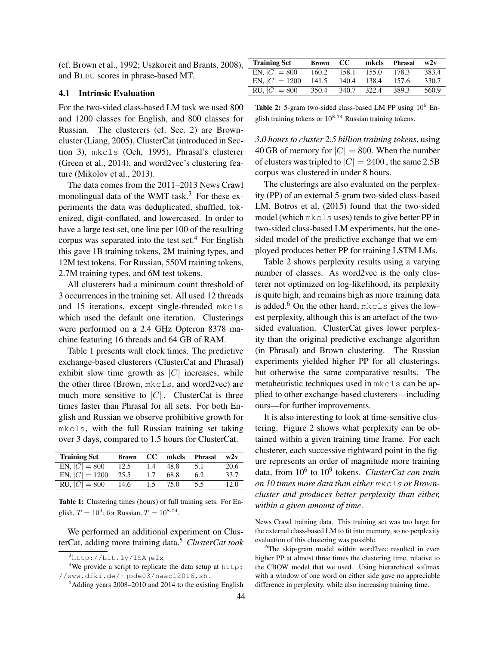(cf. Brown et al., 1992; Uszkoreit and Brants, 2008), and BLEU scores in phrase-based MT.

#### 4.1 Intrinsic Evaluation

For the two-sided class-based LM task we used 800 and 1200 classes for English, and 800 classes for Russian. The clusterers (cf. Sec. 2) are Browncluster (Liang, 2005), ClusterCat (introduced in Section 3), mkcls (Och, 1995), Phrasal's clusterer (Green et al., 2014), and word2vec's clustering feature (Mikolov et al., 2013).

The data comes from the 2011–2013 News Crawl monolingual data of the WMT task.<sup>3</sup> For these experiments the data was deduplicated, shuffled, tokenized, digit-conflated, and lowercased. In order to have a large test set, one line per 100 of the resulting corpus was separated into the test set. $4$  For English this gave 1B training tokens, 2M training types, and 12M test tokens. For Russian, 550M training tokens, 2.7M training types, and 6M test tokens.

All clusterers had a minimum count threshold of 3 occurrences in the training set. All used 12 threads and 15 iterations, except single-threaded mkcls which used the default one iteration. Clusterings were performed on a 2.4 GHz Opteron 8378 machine featuring 16 threads and 64 GB of RAM.

Table 1 presents wall clock times. The predictive exchange-based clusterers (ClusterCat and Phrasal) exhibit slow time growth as  $|C|$  increases, while the other three (Brown, mkcls, and word2vec) are much more sensitive to  $|C|$ . ClusterCat is three times faster than Phrasal for all sets. For both English and Russian we observe prohibitive growth for mkcls, with the full Russian training set taking over 3 days, compared to 1.5 hours for ClusterCat.

| <b>Training Set</b> | <b>Brown</b> | CC. | mkcls | Phrasal | w2v  |
|---------------------|--------------|-----|-------|---------|------|
| EN, $ C  = 800$     | 12.5         | 1.4 | 48.8  | 5.1     | 20.6 |
| EN, $ C  = 1200$    | 25.5         | 1.7 | 68.8  | 6.2     | 33.7 |
| RU, $ C  = 800$     | 14.6         | 1.5 | 75.0  | 5.5     | 12.0 |
|                     |              |     |       |         |      |

Table 1: Clustering times (hours) of full training sets. For English,  $T = 10^9$ ; for Russian,  $T = 10^{8.74}$ .

We performed an additional experiment on ClusterCat, adding more training data.<sup>5</sup> *ClusterCat took*

| <b>Training Set</b> | <b>Brown</b> | CC.   | mkcls | Phrasal | w2v   |
|---------------------|--------------|-------|-------|---------|-------|
| EN, $ C  = 800$     | 160.2        | 158.1 | 155.0 | 178.3   | 383.4 |
| EN, $ C  = 1200$    | 141.5        | 140.4 | 138.4 | 157.6   | 330.7 |
| RU, $ C  = 800$     | 350.4        | 340.7 | 322.4 | 389.3   | 560.9 |

Table 2: 5-gram two-sided class-based LM PP using  $10^9$  English training tokens or  $10^{8.74}$  Russian training tokens.

*3.0 hours to cluster 2.5 billion training tokens*, using 40 GB of memory for  $|C| = 800$ . When the number of clusters was tripled to  $|C| = 2400$ , the same 2.5B corpus was clustered in under 8 hours.

The clusterings are also evaluated on the perplexity (PP) of an external 5-gram two-sided class-based LM. Botros et al. (2015) found that the two-sided model (which mkcls uses) tends to give better PP in two-sided class-based LM experiments, but the onesided model of the predictive exchange that we employed produces better PP for training LSTM LMs.

Table 2 shows perplexity results using a varying number of classes. As word2vec is the only clusterer not optimized on log-likelihood, its perplexity is quite high, and remains high as more training data is added.<sup>6</sup> On the other hand,  $mkcls$  gives the lowest perplexity, although this is an artefact of the twosided evaluation. ClusterCat gives lower perplexity than the original predictive exchange algorithm (in Phrasal) and Brown clustering. The Russian experiments yielded higher PP for all clusterings, but otherwise the same comparative results. The metaheuristic techniques used in mkcls can be applied to other exchange-based clusterers—including ours—for further improvements.

It is also interesting to look at time-sensitive clustering. Figure 2 shows what perplexity can be obtained within a given training time frame. For each clusterer, each successive rightward point in the figure represents an order of magnitude more training data, from 10<sup>6</sup> to 10<sup>9</sup> tokens. *ClusterCat can train on 10 times more data than either* mkcls *or Browncluster and produces better perplexity than either, within a given amount of time*.

<sup>3</sup>http://bit.ly/1SAjeIx

<sup>4</sup>We provide a script to replicate the data setup at http: //www.dfki.de/˜jode03/naacl2016.sh .

 $<sup>5</sup>$ Adding years 2008–2010 and 2014 to the existing English</sup>

News Crawl training data. This training set was too large for the external class-based LM to fit into memory, so no perplexity evaluation of this clustering was possible.

<sup>&</sup>lt;sup>6</sup>The skip-gram model within word2vec resulted in even higher PP at almost three times the clustering time, relative to the CBOW model that we used. Using hierarchical softmax with a window of one word on either side gave no appreciable difference in perplexity, while also increasing training time.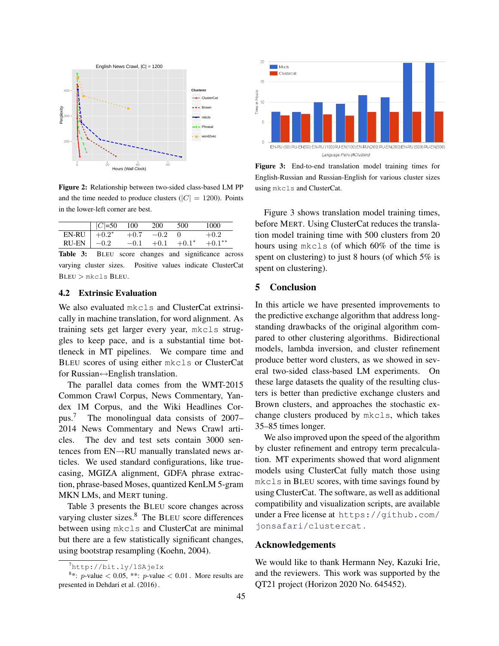

Figure 2: Relationship between two-sided class-based LM PP and the time needed to produce clusters ( $|C| = 1200$ ). Points in the lower-left corner are best.

|                | $ C =50$ 100 |             | <b>200</b> | 500           | 1000      |
|----------------|--------------|-------------|------------|---------------|-----------|
| EN-RU $+0.2^*$ |              | $+0.7 -0.2$ |            | $\Box$        | $+0.2$    |
| $RU-EN$ $-0.2$ |              | $-0.1$      |            | $+0.1 +0.1^*$ | $+0.1***$ |

Table 3: BLEU score changes and significance across varying cluster sizes. Positive values indicate ClusterCat BLEU > mkcls BLEU.

#### 4.2 Extrinsic Evaluation

We also evaluated mkcls and ClusterCat extrinsically in machine translation, for word alignment. As training sets get larger every year, mkcls struggles to keep pace, and is a substantial time bottleneck in MT pipelines. We compare time and BLEU scores of using either mkcls or ClusterCat for Russian↔English translation.

The parallel data comes from the WMT-2015 Common Crawl Corpus, News Commentary, Yandex 1M Corpus, and the Wiki Headlines Corpus.<sup>7</sup> The monolingual data consists of 2007– 2014 News Commentary and News Crawl articles. The dev and test sets contain 3000 sentences from EN→RU manually translated news articles. We used standard configurations, like truecasing, MGIZA alignment, GDFA phrase extraction, phrase-based Moses, quantized KenLM 5-gram MKN LMs, and MERT tuning.

Table 3 presents the BLEU score changes across varying cluster sizes. $8$  The BLEU score differences between using mkcls and ClusterCat are minimal but there are a few statistically significant changes, using bootstrap resampling (Koehn, 2004).



Figure 3: End-to-end translation model training times for English-Russian and Russian-English for various cluster sizes using mkcls and ClusterCat.

Figure 3 shows translation model training times, before MERT. Using ClusterCat reduces the translation model training time with 500 clusters from 20 hours using mkcls (of which 60% of the time is spent on clustering) to just 8 hours (of which 5% is spent on clustering).

## 5 Conclusion

In this article we have presented improvements to the predictive exchange algorithm that address longstanding drawbacks of the original algorithm compared to other clustering algorithms. Bidirectional models, lambda inversion, and cluster refinement produce better word clusters, as we showed in several two-sided class-based LM experiments. On these large datasets the quality of the resulting clusters is better than predictive exchange clusters and Brown clusters, and approaches the stochastic exchange clusters produced by mkcls, which takes 35–85 times longer.

We also improved upon the speed of the algorithm by cluster refinement and entropy term precalculation. MT experiments showed that word alignment models using ClusterCat fully match those using mkcls in BLEU scores, with time savings found by using ClusterCat. The software, as well as additional compatibility and visualization scripts, are available under a Free license at https://github.com/ jonsafari/clustercat .

#### Acknowledgements

We would like to thank Hermann Ney, Kazuki Irie, and the reviewers. This work was supported by the QT21 project (Horizon 2020 No. 645452).

<sup>7</sup>http://bit.ly/1SAjeIx

<sup>&</sup>lt;sup>8</sup>\*: *p*-value < 0.05, \*\*: *p*-value < 0.01. More results are presented in Dehdari et al. (2016) .